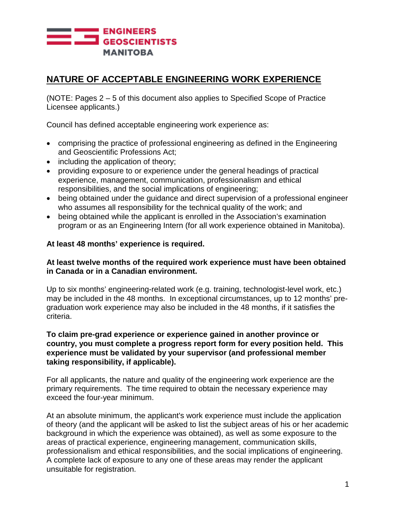

# **NATURE OF ACCEPTABLE ENGINEERING WORK EXPERIENCE**

(NOTE: Pages 2 – 5 of this document also applies to Specified Scope of Practice Licensee applicants.)

Council has defined acceptable engineering work experience as:

- comprising the practice of professional engineering as defined in the Engineering and Geoscientific Professions Act;
- including the application of theory;
- providing exposure to or experience under the general headings of practical experience, management, communication, professionalism and ethical responsibilities, and the social implications of engineering;
- being obtained under the guidance and direct supervision of a professional engineer who assumes all responsibility for the technical quality of the work; and
- being obtained while the applicant is enrolled in the Association's examination program or as an Engineering Intern (for all work experience obtained in Manitoba).

#### **At least 48 months' experience is required.**

### **At least twelve months of the required work experience must have been obtained in Canada or in a Canadian environment.**

Up to six months' engineering-related work (e.g. training, technologist-level work, etc.) may be included in the 48 months. In exceptional circumstances, up to 12 months' pregraduation work experience may also be included in the 48 months, if it satisfies the criteria.

#### **To claim pre-grad experience or experience gained in another province or country, you must complete a progress report form for every position held. This experience must be validated by your supervisor (and professional member taking responsibility, if applicable).**

For all applicants, the nature and quality of the engineering work experience are the primary requirements. The time required to obtain the necessary experience may exceed the four-year minimum.

At an absolute minimum, the applicant's work experience must include the application of theory (and the applicant will be asked to list the subject areas of his or her academic background in which the experience was obtained), as well as some exposure to the areas of practical experience, engineering management, communication skills, professionalism and ethical responsibilities, and the social implications of engineering. A complete lack of exposure to any one of these areas may render the applicant unsuitable for registration.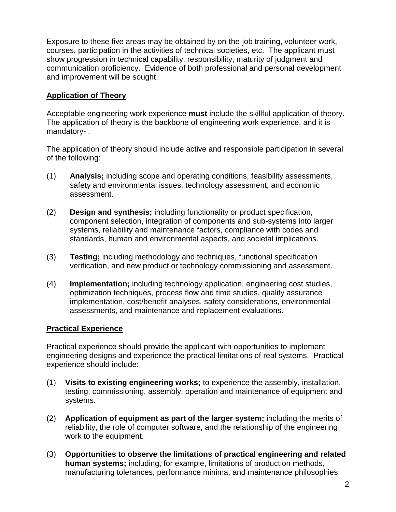Exposure to these five areas may be obtained by on-the-job training, volunteer work, courses, participation in the activities of technical societies, etc. The applicant must show progression in technical capability, responsibility, maturity of judgment and communication proficiency. Evidence of both professional and personal development and improvement will be sought.

## **Application of Theory**

Acceptable engineering work experience **must** include the skillful application of theory. The application of theory is the backbone of engineering work experience, and it is mandatory- .

The application of theory should include active and responsible participation in several of the following:

- (1) **Analysis;** including scope and operating conditions, feasibility assessments, safety and environmental issues, technology assessment, and economic assessment.
- (2) **Design and synthesis;** including functionality or product specification, component selection, integration of components and sub-systems into larger systems, reliability and maintenance factors, compliance with codes and standards, human and environmental aspects, and societal implications.
- (3) **Testing;** including methodology and techniques, functional specification verification, and new product or technology commissioning and assessment.
- (4) **Implementation;** including technology application, engineering cost studies, optimization techniques, process flow and time studies, quality assurance implementation, cost/benefit analyses, safety considerations, environmental assessments, and maintenance and replacement evaluations.

### **Practical Experience**

Practical experience should provide the applicant with opportunities to implement engineering designs and experience the practical limitations of real systems. Practical experience should include:

- (1) **Visits to existing engineering works;** to experience the assembly, installation, testing, commissioning, assembly, operation and maintenance of equipment and systems.
- (2) **Application of equipment as part of the larger system;** including the merits of reliability, the role of computer software, and the relationship of the engineering work to the equipment.
- (3) **Opportunities to observe the limitations of practical engineering and related human systems;** including, for example, limitations of production methods, manufacturing tolerances, performance minima, and maintenance philosophies.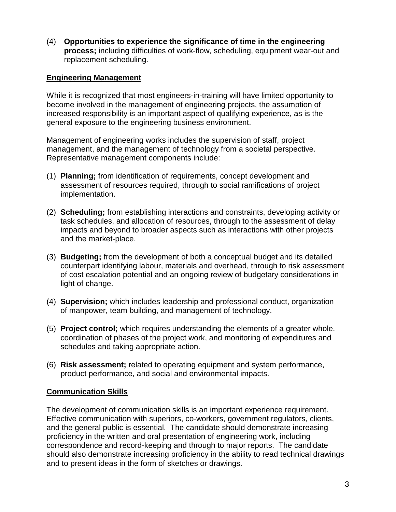(4) **Opportunities to experience the significance of time in the engineering process;** including difficulties of work-flow, scheduling, equipment wear-out and replacement scheduling.

## **Engineering Management**

While it is recognized that most engineers-in-training will have limited opportunity to become involved in the management of engineering projects, the assumption of increased responsibility is an important aspect of qualifying experience, as is the general exposure to the engineering business environment.

Management of engineering works includes the supervision of staff, project management, and the management of technology from a societal perspective. Representative management components include:

- (1) **Planning;** from identification of requirements, concept development and assessment of resources required, through to social ramifications of project implementation.
- (2) **Scheduling;** from establishing interactions and constraints, developing activity or task schedules, and allocation of resources, through to the assessment of delay impacts and beyond to broader aspects such as interactions with other projects and the market-place.
- (3) **Budgeting;** from the development of both a conceptual budget and its detailed counterpart identifying labour, materials and overhead, through to risk assessment of cost escalation potential and an ongoing review of budgetary considerations in light of change.
- (4) **Supervision;** which includes leadership and professional conduct, organization of manpower, team building, and management of technology.
- (5) **Project control;** which requires understanding the elements of a greater whole, coordination of phases of the project work, and monitoring of expenditures and schedules and taking appropriate action.
- (6) **Risk assessment;** related to operating equipment and system performance, product performance, and social and environmental impacts.

### **Communication Skills**

The development of communication skills is an important experience requirement. Effective communication with superiors, co-workers, government regulators, clients, and the general public is essential. The candidate should demonstrate increasing proficiency in the written and oral presentation of engineering work, including correspondence and record-keeping and through to major reports. The candidate should also demonstrate increasing proficiency in the ability to read technical drawings and to present ideas in the form of sketches or drawings.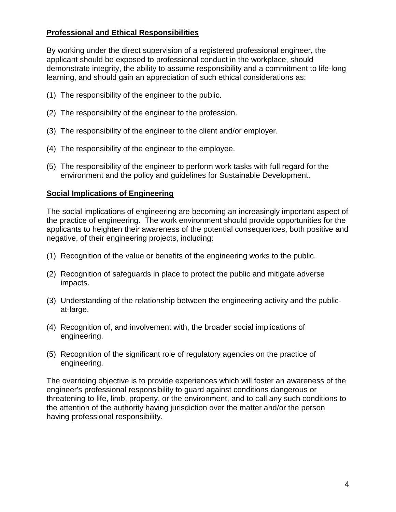## **Professional and Ethical Responsibilities**

By working under the direct supervision of a registered professional engineer, the applicant should be exposed to professional conduct in the workplace, should demonstrate integrity, the ability to assume responsibility and a commitment to life-long learning, and should gain an appreciation of such ethical considerations as:

- (1) The responsibility of the engineer to the public.
- (2) The responsibility of the engineer to the profession.
- (3) The responsibility of the engineer to the client and/or employer.
- (4) The responsibility of the engineer to the employee.
- (5) The responsibility of the engineer to perform work tasks with full regard for the environment and the policy and guidelines for Sustainable Development.

## **Social Implications of Engineering**

The social implications of engineering are becoming an increasingly important aspect of the practice of engineering. The work environment should provide opportunities for the applicants to heighten their awareness of the potential consequences, both positive and negative, of their engineering projects, including:

- (1) Recognition of the value or benefits of the engineering works to the public.
- (2) Recognition of safeguards in place to protect the public and mitigate adverse impacts.
- (3) Understanding of the relationship between the engineering activity and the publicat-large.
- (4) Recognition of, and involvement with, the broader social implications of engineering.
- (5) Recognition of the significant role of regulatory agencies on the practice of engineering.

The overriding objective is to provide experiences which will foster an awareness of the engineer's professional responsibility to guard against conditions dangerous or threatening to life, limb, property, or the environment, and to call any such conditions to the attention of the authority having jurisdiction over the matter and/or the person having professional responsibility.